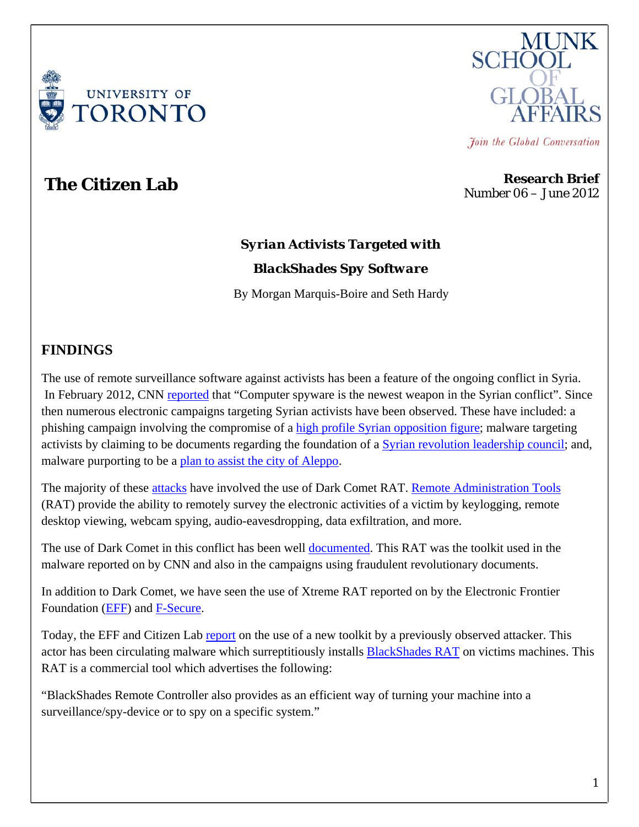



Join the Global Conversation

**The Citizen Lab Research Brief** Number 06 – June 2012

# *Syrian Activists Targeted with BlackShades Spy Software*

By Morgan Marquis-Boire and Seth Hardy

### **FINDINGS**

The use of remote surveillance software against activists has been a feature of the ongoing conflict in Syria. In February 2012, CNN [reported](http://edition.cnn.com/2012/02/17/tech/web/computer-virus-syria/index.html) that "Computer spyware is the newest weapon in the Syrian conflict". Since then numerous electronic campaigns targeting Syrian activists have been observed. These have included: a phishing campaign involving the compromise of a [high profile Syrian opposition figure;](https://www.eff.org/deeplinks/2012/04/new-wave-facebook-phishing-attacks-targets-syrian-activists) malware targeting activists by claiming to be documents regarding the foundation of a [Syrian revolution leadership council;](https://www.eff.org/deeplinks/2012/04/campaign-targeting-syrian-activists-escalates-with-new-surveillance-malware) and, malware purporting to be a [plan to assist the city of Aleppo](https://www.eff.org/deeplinks/2012/05/trojan-hidden-fake-revolutionary-documents-targets-syrian-activists).

The majority of these [attacks](http://www.dlshad.net/?p=25) have involved the use of Dark Comet RAT. [Remote Administration Tools](https://en.wikipedia.org/wiki/Remote_administration_software) (RAT) provide the ability to remotely survey the electronic activities of a victim by keylogging, remote desktop viewing, webcam spying, audio-eavesdropping, data exfiltration, and more.

The use of Dark Comet in this conflict has been well [documented.](http://blog.trendmicro.com/fake-skype-encryption-software-cloaks-darkcomet-trojan/) This RAT was the toolkit used in the malware reported on by CNN and also in the campaigns using fraudulent revolutionary documents.

In addition to Dark Comet, we have seen the use of Xtreme RAT reported on by the Electronic Frontier Foundation [\(EFF](https://www.eff.org/deeplinks/2012/03/how-find-syrian-government-malware-your-computer-and-remove-it)) and [F-Secure.](https://www.f-secure.com/weblog/archives/00002356.html)

Today, the EFF and Citizen Lab [report](https://www.eff.org/deeplinks/2012/06/darkshades-rat-and-syrian-malware) on the use of a new toolkit by a previously observed attacker. This actor has been circulating malware which surreptitiously installs [BlackShades RAT](http://bshades.eu/bsscmds.php) on victims machines. This RAT is a commercial tool which advertises the following:

"BlackShades Remote Controller also provides as an efficient way of turning your machine into a surveillance/spy-device or to spy on a specific system."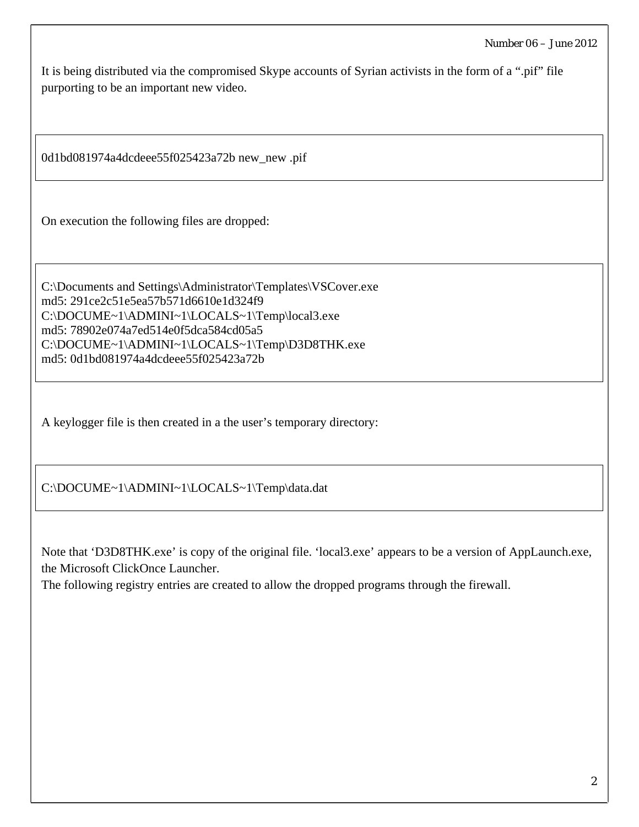It is being distributed via the compromised Skype accounts of Syrian activists in the form of a ".pif" file purporting to be an important new video.

0d1bd081974a4dcdeee55f025423a72b new\_new .pif

On execution the following files are dropped:

C:\Documents and Settings\Administrator\Templates\VSCover.exe md5: 291ce2c51e5ea57b571d6610e1d324f9 C:\DOCUME~1\ADMINI~1\LOCALS~1\Temp\local3.exe md5: 78902e074a7ed514e0f5dca584cd05a5 C:\DOCUME~1\ADMINI~1\LOCALS~1\Temp\D3D8THK.exe md5: 0d1bd081974a4dcdeee55f025423a72b

A keylogger file is then created in a the user's temporary directory:

C:\DOCUME~1\ADMINI~1\LOCALS~1\Temp\data.dat

Note that 'D3D8THK.exe' is copy of the original file. 'local3.exe' appears to be a version of AppLaunch.exe, the Microsoft ClickOnce Launcher.

The following registry entries are created to allow the dropped programs through the firewall.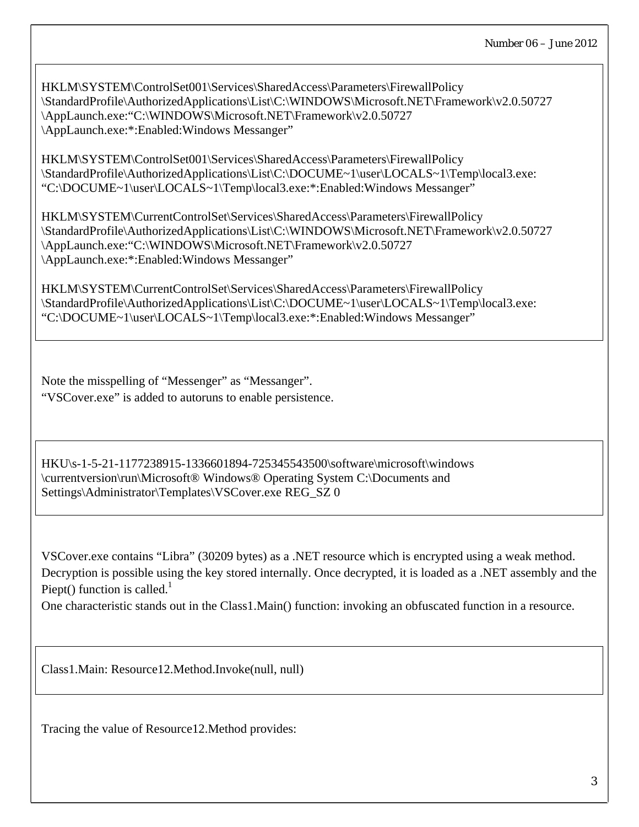HKLM\SYSTEM\ControlSet001\Services\SharedAccess\Parameters\FirewallPolicy \StandardProfile\AuthorizedApplications\List\C:\WINDOWS\Microsoft.NET\Framework\v2.0.50727 \AppLaunch.exe:"C:\WINDOWS\Microsoft.NET\Framework\v2.0.50727 \AppLaunch.exe:\*:Enabled:Windows Messanger"

HKLM\SYSTEM\ControlSet001\Services\SharedAccess\Parameters\FirewallPolicy \StandardProfile\AuthorizedApplications\List\C:\DOCUME~1\user\LOCALS~1\Temp\local3.exe: "C:\DOCUME~1\user\LOCALS~1\Temp\local3.exe:\*:Enabled:Windows Messanger"

HKLM\SYSTEM\CurrentControlSet\Services\SharedAccess\Parameters\FirewallPolicy \StandardProfile\AuthorizedApplications\List\C:\WINDOWS\Microsoft.NET\Framework\v2.0.50727 \AppLaunch.exe:"C:\WINDOWS\Microsoft.NET\Framework\v2.0.50727 \AppLaunch.exe:\*:Enabled:Windows Messanger"

HKLM\SYSTEM\CurrentControlSet\Services\SharedAccess\Parameters\FirewallPolicy \StandardProfile\AuthorizedApplications\List\C:\DOCUME~1\user\LOCALS~1\Temp\local3.exe: "C:\DOCUME~1\user\LOCALS~1\Temp\local3.exe:\*:Enabled:Windows Messanger"

Note the misspelling of "Messenger" as "Messanger". "VSCover.exe" is added to autoruns to enable persistence.

HKU\s-1-5-21-1177238915-1336601894-725345543500\software\microsoft\windows \currentversion\run\Microsoft® Windows® Operating System C:\Documents and Settings\Administrator\Templates\VSCover.exe REG\_SZ 0

VSCover.exe contains "Libra" (30209 bytes) as a .NET resource which is encrypted using a weak method. Decryption is possible using the key stored internally. Once decrypted, it is loaded as a .NET assembly and the Piept() function is called.<sup>1</sup>

One characteristic stands out in the Class1.Main() function: invoking an obfuscated function in a resource.

Class1.Main: Resource12.Method.Invoke(null, null)

Tracing the value of Resource12.Method provides: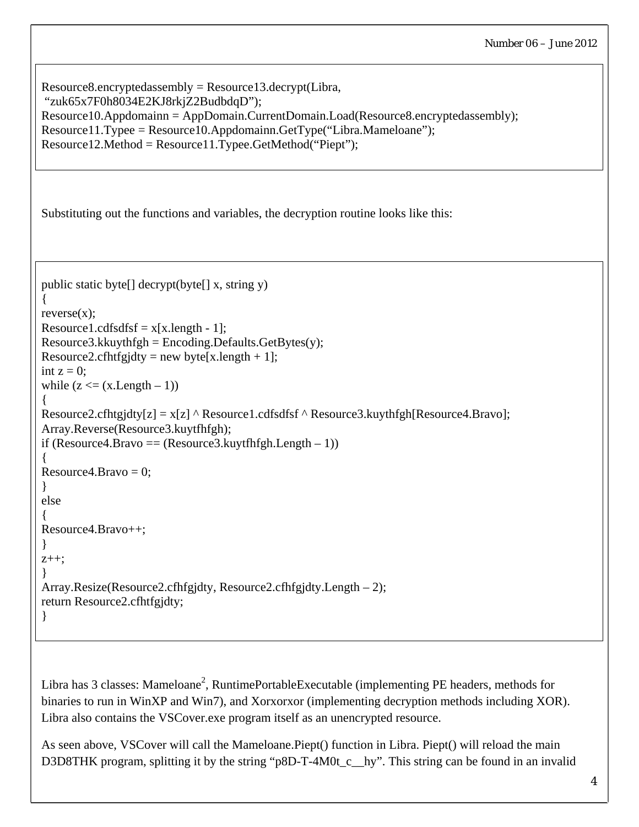```
Resource8.encryptedassembly = Resource13.decrypt(Libra,
 "zuk65x7F0h8034E2KJ8rkjZ2BudbdqD"); 
Resource10.Appdomainn = AppDomain.CurrentDomain.Load(Resource8.encryptedassembly); 
Resource11.Typee = Resource10.Appdomainn.GetType("Libra.Mameloane"); 
Resource12.Method = Resource11.Typee.GetMethod("Piept"); 
Substituting out the functions and variables, the decryption routine looks like this: 
public static byte[] decrypt(byte[] x, string y) 
{ 
reverse(x);
Resource1.cdfsdfsf = x[x.length - 1];
Resource3.kkuythfgh = Encoding.Defaults.GetBytes(y);Resource2.cfhtfgjdty = new byte[x.length + 1];
int z = 0:
while (z \leq (x.length - 1)){ 
Resource2.cfhtgjdty[z] = x[z] ^ Resource1.cdfsdfsf ^ Resource3.kuythfgh[Resource4.Bravo];
Array.Reverse(Resource3.kuytfhfgh); 
if (Resource4.Bravo = (Resource3.kuytfhfgh.Length - 1))
{ 
Resource 4. Bravo = 0;
} 
else 
{ 
Resource4.Bravo++; 
} 
z++; 
} 
Array.Resize(Resource2.cfhfgjdty, Resource2.cfhfgjdty.Length – 2); 
return Resource2.cfhtfgjdty; 
}
```
Libra has 3 classes: Mameloane<sup>2</sup>, RuntimePortableExecutable (implementing PE headers, methods for binaries to run in WinXP and Win7), and Xorxorxor (implementing decryption methods including XOR). Libra also contains the VSCover.exe program itself as an unencrypted resource.

As seen above, VSCover will call the Mameloane.Piept() function in Libra. Piept() will reload the main D3D8THK program, splitting it by the string "p8D-T-4M0t\_c\_\_hy". This string can be found in an invalid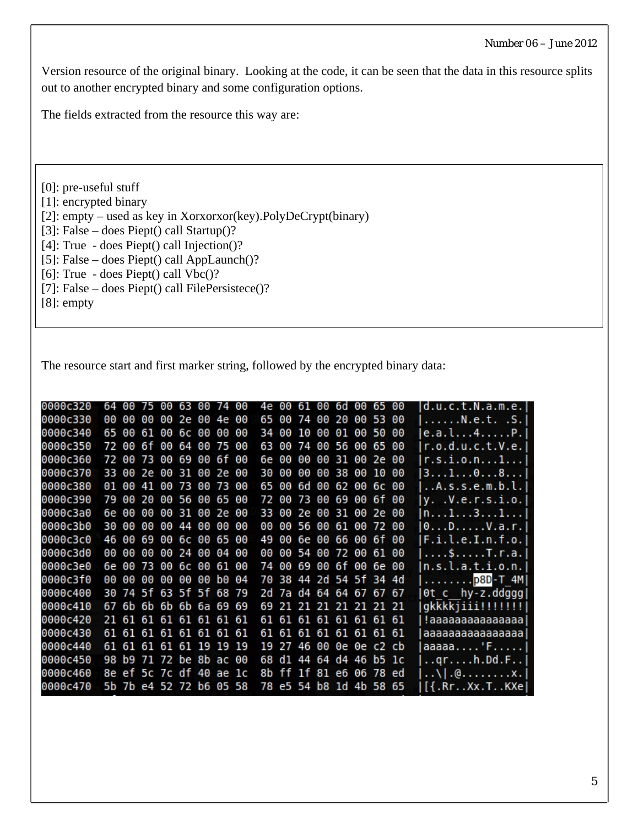Version resource of the original binary. Looking at the code, it can be seen that the data in this resource splits out to another encrypted binary and some configuration options.

The fields extracted from the resource this way are:

[0]: pre-useful stuff [1]: encrypted binary [2]: empty – used as key in Xorxorxor(key).PolyDeCrypt(binary) [3]: False – does Piept() call Startup()? [4]: True - does Piept() call Injection()? [5]: False – does Piept() call AppLaunch()? [6]: True - does Piept() call Vbc()?

[7]: False – does Piept() call FilePersistece()?

[8]: empty

The resource start and first marker string, followed by the encrypted binary data:

| 0000c320 |       |       | 64 00 75 00 63 00 74 00 |                 |          |    |           |    |    |    | 4e 00 61 00 6d 00 65 00 |          |             |                   |       |     | d.u.c.t.N.a.m.e.                                          |
|----------|-------|-------|-------------------------|-----------------|----------|----|-----------|----|----|----|-------------------------|----------|-------------|-------------------|-------|-----|-----------------------------------------------------------|
| 0000c330 | 00    | 00    | 00                      |                 | 00 2e 00 |    | -4e       | 00 | 65 | 00 |                         | 74 00 20 |             | 00                | -53   | -00 | N.e.t. .S.                                                |
| 0000c340 |       | 65 00 | 61.                     | 00              | 6с 00    |    | 00        | 00 | 34 | 00 | 10                      | 00       | 01          | 00                | 50    | -00 | e.a.l4P.                                                  |
| 0000c350 |       | 72 00 | 6f                      | 00              | 64       | 00 | 75 00     |    | 63 | 00 | 74                      |          | 00 56 00    |                   | 65 00 |     | r.o.d.u.c.t.V.e.                                          |
| 0000c360 |       |       | 72 00 73                | 00 <sub>1</sub> | 69 00    |    | 6f 00     |    | 6e | 00 |                         |          |             | 00 00 31 00 2e 00 |       |     | r.s.i.o.n1                                                |
| 0000c370 | 33 00 |       | 2e                      | 00              | 31 00    |    | <b>2e</b> | 00 | 30 | 00 | 00                      | 00       | 38          | 00                | -10   | -00 | 3108                                                      |
| 0000c380 |       | 01 00 | 41 00 73 00             |                 |          |    | 73 00     |    | 65 | 00 | 6d                      | 00       | 62 00       |                   | 6c 00 |     | .A.s.s.e.m.b.l.                                           |
| 0000c390 | 79    | 00    | -20                     | 00              | 56 00    |    | 65 00     |    | 72 | 00 |                         |          |             | 73 00 69 00 6f 00 |       |     | y. .V.e.r.s.i.o.                                          |
| 0000c3a0 |       | 6e 00 | 00                      | 00              | 31 00    |    | 2e        | 00 | 33 | 00 |                         |          | 2e 00 31 00 |                   | 2e 00 |     | $\left  \mathsf{n}\ldots 1\ldots 3\ldots 1\ldots \right $ |
| 0000c3b0 | 30    | 00    | 00                      | 00              | 44 00    |    | 00        | 00 | 00 | 00 | 56                      | 00       |             | 61 00             | 72    | -00 | $0 \ldots D \ldots \ldots V \ldots$                       |
| 0000c3c0 | 46    | 00    | 69                      | 00              | 6c 00    |    | 65 00     |    | 49 | 00 |                         |          |             | 6e 00 66 00 6f 00 |       |     | F.i.l.e.I.n.f.o.                                          |
| 0000c3d0 | 00    | 00    | 00                      | 00              | 24       | 00 | 04        | 00 | 00 | 00 | 54                      | 00       | 72 00       |                   | 61 00 |     | $\ldots$ \$ $\ldots$ . T.r.a.                             |
| 0000c3e0 |       | 6e 00 | 73                      | 00              | 6с 00    |    | 61 00     |    | 74 | 00 | 69                      | 00       | 6f 00       |                   | 6e 00 |     | n.s.l.a.t.i.o.n.                                          |
| 0000c3f0 | 00    | 00    | 00                      | 00              | 00 00    |    | b0 04     |    | 70 |    | 38 44 2d 54 5f 34 4d    |          |             |                   |       |     | $\ldots \ldots \ldots$ . p8D-T 4M                         |
| 0000c400 | 30    |       | 74 5f 63 5f 5f 68 79    |                 |          |    |           |    | 2d |    | 7a d4 64 64 67 67 67    |          |             |                   |       |     | Ot c hy-z.ddggg                                           |
| 0000c410 | 67    |       | 6b 6b 6b 6b 6a 69 69    |                 |          |    |           |    | 69 | 21 |                         |          |             | 21 21 21 21 21 21 |       |     | gkkkkjiii!!!!!!!                                          |
| 0000c420 |       |       | 21 61 61 61 61 61 61 61 |                 |          |    |           |    | 61 |    | 61 61 61 61 61 61       |          |             |                   |       |     | !aaaaaaaaaaaaaa !                                         |
| 0000c430 |       |       | 61 61 61 61 61 61 61    |                 |          |    |           |    | 61 | 61 |                         |          |             | 61 61 61 61 61    |       |     | aaaaaaaaaaaaaaaa                                          |
| 0000c440 |       |       | 61 61 61 61 61 19       |                 |          |    | 19 19     |    | 19 | 27 |                         | 46 00    |             | 0e 0e c2 cb       |       |     | aaaaa $\ldots$ 'F                                         |
| 0000c450 |       |       | 98 b9 71 72 be 8b ac 00 |                 |          |    |           |    | 68 |    | dl 44 64 d4 46          |          |             |                   | b5 1c |     | . .qr. h. Dd.F. .                                         |
| 0000c460 |       |       | 8e ef 5c 7c df 40 ae 1c |                 |          |    |           |    | 8b | ff |                         |          |             | 1f 81 e6 06 78 ed |       |     | . . \   .@. x .                                           |
| 0000c470 |       |       | 5b 7b e4 52 72 b6 05 58 |                 |          |    |           |    | 78 |    | e5 54 b8 1d 4b 58 65    |          |             |                   |       |     | $[\{ .\}$ Rr $. .$ Xx $.$ T $. .$ KXe                     |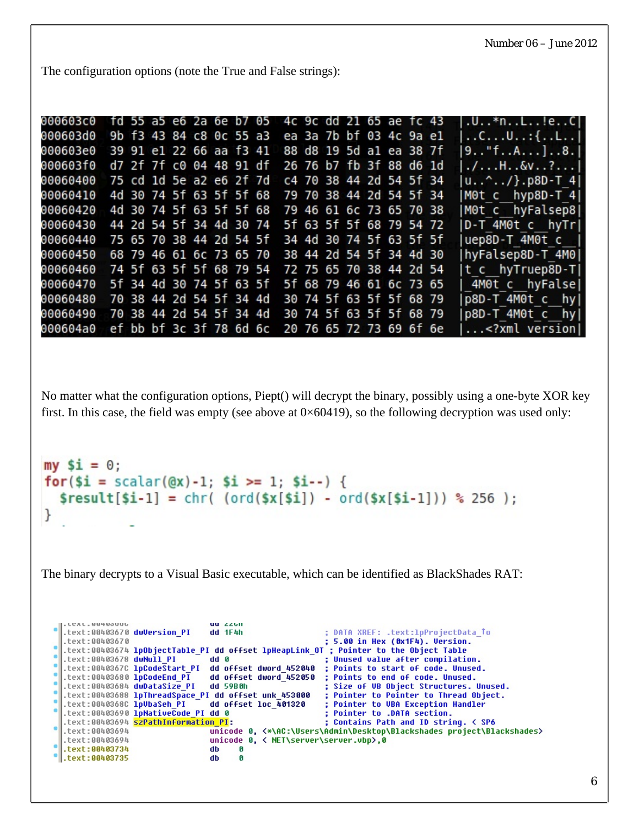The configuration options (note the True and False strings):

| 000603c0 |                         |                         |  |  |                         | fd 55 a5 e6 2a 6e b7 05 4c 9c dd 21 65 ae fc 43 |  |  |                         |  | $U.3*n.1!e.1$                                          |
|----------|-------------------------|-------------------------|--|--|-------------------------|-------------------------------------------------|--|--|-------------------------|--|--------------------------------------------------------|
| 000603d0 |                         | 9b f3 43 84 c8 0c 55 a3 |  |  |                         |                                                 |  |  | ea 3a 7b bf 03 4c 9a el |  | $\ldots$ C $\ldots$ U $\ldots$ : { $\ldots$ L $\ldots$ |
| 000603e0 | 39 91 e1 22 66 aa f3 41 |                         |  |  |                         |                                                 |  |  | 88 d8 19 5d al ea 38 7f |  | 9"fA]8.                                                |
| 000603f0 |                         | d7 2f 7f c0 04 48 91 df |  |  |                         |                                                 |  |  | 26 76 b7 fb 3f 88 d6 1d |  | $. / H. .$ &v. . ?                                     |
| 00060400 | 75 cd 1d 5e a2 e6 2f 7d |                         |  |  |                         |                                                 |  |  | c4 70 38 44 2d 54 5f 34 |  | u^/}.p8D–T 4                                           |
| 00060410 |                         |                         |  |  | 4d 30 74 5f 63 5f 5f 68 | 79 70 38 44 2d 54 5f 34                         |  |  |                         |  | M0t c hyp8D-T 4                                        |
| 00060420 |                         |                         |  |  | 4d 30 74 5f 63 5f 5f 68 | 79 46 61 6c 73 65 70 38                         |  |  |                         |  | M0t c hyFalsep8                                        |
| 00060430 |                         | 44 2d 54 5f 34 4d 30 74 |  |  |                         |                                                 |  |  | 5f 63 5f 5f 68 79 54 72 |  | D-T 4M0t c hyTr                                        |
| 00060440 |                         |                         |  |  |                         | 75 65 70 38 44 2d 54 5f 34 4d 30 74 5f 63 5f 5f |  |  |                         |  | uep8D-T 4M0t c                                         |
| 00060450 |                         |                         |  |  | 68 79 46 61 6c 73 65 70 |                                                 |  |  | 38 44 2d 54 5f 34 4d 30 |  | hyFalsep8D-T 4M0                                       |
| 00060460 |                         |                         |  |  | 74 5f 63 5f 5f 68 79 54 | 72 75 65 70 38 44 2d 54                         |  |  |                         |  | t c hyTruep8D-T                                        |
| 00060470 |                         |                         |  |  | 5f 34 4d 30 74 5f 63 5f |                                                 |  |  | 5f 68 79 46 61 6c 73 65 |  | 4M0t c hyFalse                                         |
| 00060480 |                         |                         |  |  |                         | 70 38 44 2d 54 5f 34 4d 30 74 5f 63 5f 5f 68 79 |  |  |                         |  | p8D-T 4M0t c hyl                                       |
| 00060490 |                         |                         |  |  |                         | 70 38 44 2d 54 5f 34 4d 30 74 5f 63 5f 5f 68 79 |  |  |                         |  | p8D-T 4M0t c hy                                        |
| 000604a0 |                         |                         |  |  | ef bb bf 3c 3f 78 6d 6c |                                                 |  |  | 20 76 65 72 73 69 6f 6e |  | $\ldots$ xml version  </td                             |

No matter what the configuration options, Piept() will decrypt the binary, possibly using a one-byte XOR key first. In this case, the field was empty (see above at  $0 \times 60419$ ), so the following decryption was used only:

```
my Si = 0;
for($i = scalar(@x)-1; $i >= 1; $i--) {
  $result[$i-1] = chr( (ord($x[$i]) - ord($x[$i-1])) % 256 );}
```
The binary decrypts to a Visual Basic executable, which can be identified as BlackShades RAT:

```
LEAL. UU4UJUUL
                               UU ZZUII
.text:00403670 dwVersion_PI
                               dd 1F4h
                                                         ; DATA XREF: .text:1pProjectData_To
text:00403670
                                                         ; 5.00 in Hex (0x1F4). Version.
text:00403674 lpObjectTable_PI dd offset lpHeapLink_OT ; Pointer to the Object Table.
text:00403678 dwNull PI
                                                         ; Unused value after compilation.
                               dd<sub>0</sub>.text:0040367C lpCodeStart_PI
                               dd offset dword_452040
                                                           Points to start of code. Unused.
.text:00403680 lpCodeEnd_PI
                               dd offset dword_452050
                                                           Points to end of code. Unused.
                               dd 59B0h
.text:00403684 dwDataSize PI
                                                           Size of UB Object Structures. Unused.
.text:00403688 lpThreadSpace_PI dd offset unk_453000
                                                           Pointer to Pointer to Thread Object.
.text:0040368C lpUbaSeh_PI
                               dd offset loc_401320
                                                           Pointer to UBA Exception Handler
.text:00403690 lpNativeCode PI dd 0
                                                           Pointer to .DATA section.
.text:00403694 <mark>szPathInformation_PI</mark>:
                                                           Contains Path and ID string. < SP6
.text:00403694
                               unicode 0, <*\AC:\Users\Admin\Desktop\Blackshades project\Blackshades>
.text:00403694
                               unicode 0, < NET\server\server.vbp>,0
.text:00403734
                               db
                                      G
.text:00403735
                               db
                                      \bf{G}
```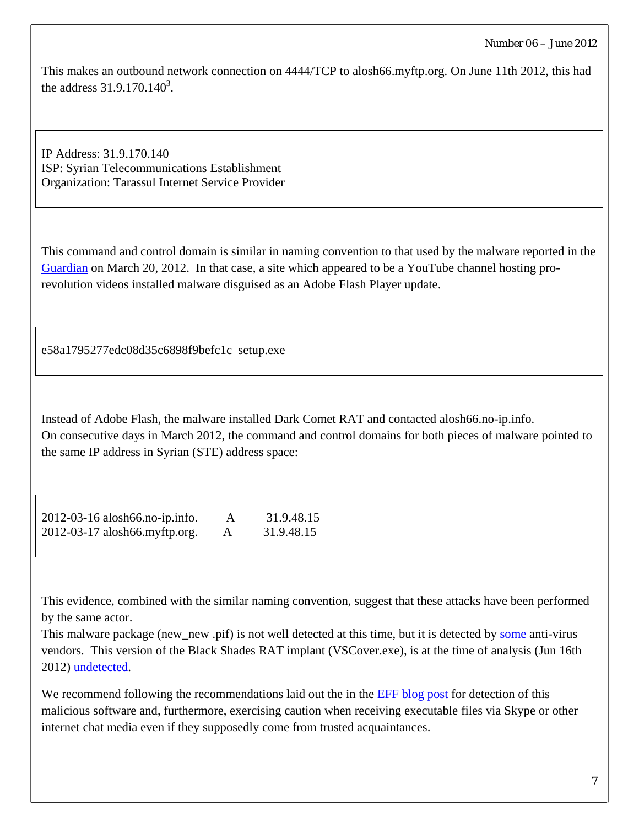This makes an outbound network connection on 4444/TCP to alosh66.myftp.org. On June 11th 2012, this had the address  $31.9.170.140^3$ .

IP Address: 31.9.170.140 ISP: Syrian Telecommunications Establishment Organization: Tarassul Internet Service Provider

This command and control domain is similar in naming convention to that used by the malware reported in the [Guardian](http://www.guardian.co.uk/technology/2012/mar/20/syrian-activists-fake-youtube) on March 20, 2012. In that case, a site which appeared to be a YouTube channel hosting prorevolution videos installed malware disguised as an Adobe Flash Player update.

e58a1795277edc08d35c6898f9befc1c setup.exe

Instead of Adobe Flash, the malware installed Dark Comet RAT and contacted alosh66.no-ip.info. On consecutive days in March 2012, the command and control domains for both pieces of malware pointed to the same IP address in Syrian (STE) address space:

| 2012-03-16 alosh66.no-ip.info. |   | 31.9.48.15 |
|--------------------------------|---|------------|
| 2012-03-17 alosh66.myftp.org.  | A | 31.9.48.15 |

This evidence, combined with the similar naming convention, suggest that these attacks have been performed by the same actor.

This malware package (new\_new .pif) is not well detected at this time, but it is detected by [some](https://www.virustotal.com/file/15c34d2b0e834727949dbacea897db33c785a32ac606c0935e3758c8dc975535/analysis/) anti-virus vendors. This version of the Black Shades RAT implant (VSCover.exe), is at the time of analysis (Jun 16th 2012) [undetected.](https://www.virustotal.com/file/abc85152d52d86586ccac93e10f36140f645c1f8cc0d433031c528f99d0ca89d/analysis/)

We recommend following the recommendations laid out the in the **EFF** blog post for detection of this malicious software and, furthermore, exercising caution when receiving executable files via Skype or other internet chat media even if they supposedly come from trusted acquaintances.